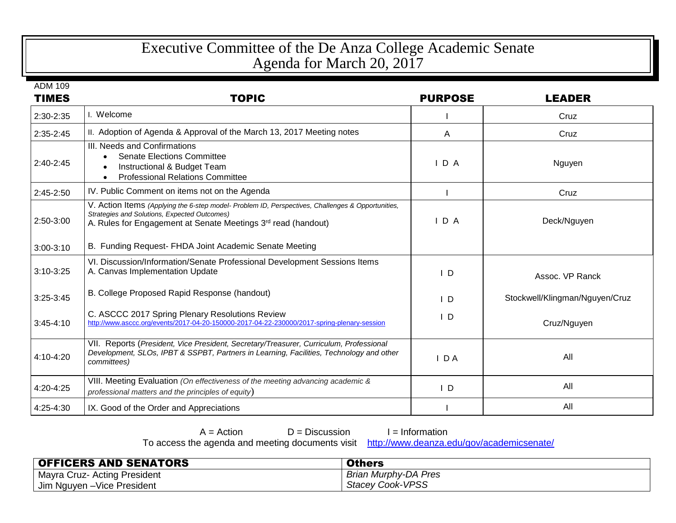## Executive Committee of the De Anza College Academic Senate Agenda for March 20, 2017

ADM 109

| <b>TIMES</b>  | <b>TOPIC</b>                                                                                                                                                                                                       | <b>PURPOSE</b> | <b>LEADER</b>                  |
|---------------|--------------------------------------------------------------------------------------------------------------------------------------------------------------------------------------------------------------------|----------------|--------------------------------|
| 2:30-2:35     | I. Welcome                                                                                                                                                                                                         |                | Cruz                           |
| $2:35 - 2:45$ | II. Adoption of Agenda & Approval of the March 13, 2017 Meeting notes                                                                                                                                              | A              | Cruz                           |
| $2:40-2:45$   | III. Needs and Confirmations<br><b>Senate Elections Committee</b><br>Instructional & Budget Team<br><b>Professional Relations Committee</b>                                                                        | IDA            | Nguyen                         |
| $2:45-2:50$   | IV. Public Comment on items not on the Agenda                                                                                                                                                                      |                | Cruz                           |
| 2:50-3:00     | V. Action Items (Applying the 6-step model- Problem ID, Perspectives, Challenges & Opportunities,<br>Strategies and Solutions, Expected Outcomes)<br>A. Rules for Engagement at Senate Meetings 3rd read (handout) | IDA            | Deck/Nguyen                    |
| $3:00-3:10$   | B. Funding Request- FHDA Joint Academic Senate Meeting                                                                                                                                                             |                |                                |
| $3:10-3:25$   | VI. Discussion/Information/Senate Professional Development Sessions Items<br>A. Canvas Implementation Update                                                                                                       | $\mathsf{I}$ D | Assoc. VP Ranck                |
| $3:25-3:45$   | B. College Proposed Rapid Response (handout)                                                                                                                                                                       | $\mathsf{I}$ D | Stockwell/Klingman/Nguyen/Cruz |
| $3:45-4:10$   | C. ASCCC 2017 Spring Plenary Resolutions Review<br>http://www.asccc.org/events/2017-04-20-150000-2017-04-22-230000/2017-spring-plenary-session                                                                     | $\mathsf{I}$ D | Cruz/Nguyen                    |
| 4:10-4:20     | VII. Reports (President, Vice President, Secretary/Treasurer, Curriculum, Professional<br>Development, SLOs, IPBT & SSPBT, Partners in Learning, Facilities, Technology and other<br>committees)                   | $I$ DA         | All                            |
| 4:20-4:25     | VIII. Meeting Evaluation (On effectiveness of the meeting advancing academic &<br>professional matters and the principles of equity)                                                                               | $\mathsf{I}$ D | All                            |
| 4:25-4:30     | IX. Good of the Order and Appreciations                                                                                                                                                                            |                | All                            |

 $A =$  Action  $D =$  Discussion I = Information

To access the agenda and meeting documents visit <http://www.deanza.edu/gov/academicsenate/>

| <b>OFFICERS AND SENATORS</b> | <b>Others</b>           |
|------------------------------|-------------------------|
| Mayra Cruz- Acting President | Brian Murphy-DA Pres    |
| Jim Nguyen - Vice President  | <b>Stacey Cook-VPSS</b> |